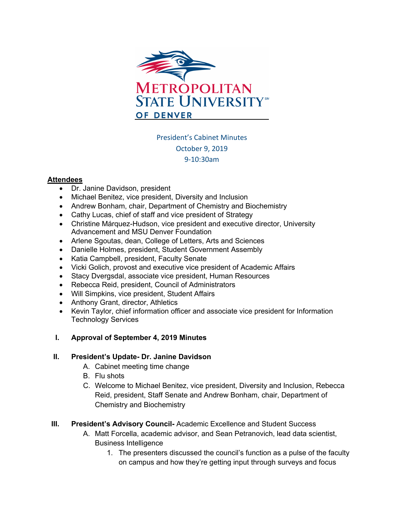

# President's Cabinet Minutes October 9, 2019 9-10:30am

#### **Attendees**

- Dr. Janine Davidson, president
- Michael Benitez, vice president, Diversity and Inclusion
- Andrew Bonham, chair, Department of Chemistry and Biochemistry
- Cathy Lucas, chief of staff and vice president of Strategy
- Christine Márquez-Hudson, vice president and executive director, University Advancement and MSU Denver Foundation
- Arlene Sgoutas, dean, College of Letters, Arts and Sciences
- Danielle Holmes, president, Student Government Assembly
- Katia Campbell, president, Faculty Senate
- Vicki Golich, provost and executive vice president of Academic Affairs
- Stacy Dvergsdal, associate vice president, Human Resources
- Rebecca Reid, president, Council of Administrators
- Will Simpkins, vice president, Student Affairs
- Anthony Grant, director, Athletics
- Kevin Taylor, chief information officer and associate vice president for Information Technology Services
- **I. Approval of September 4, 2019 Minutes**

### **II. President's Update- Dr. Janine Davidson**

- A. Cabinet meeting time change
- B. Flu shots
- C. Welcome to Michael Benitez, vice president, Diversity and Inclusion, Rebecca Reid, president, Staff Senate and Andrew Bonham, chair, Department of Chemistry and Biochemistry
- **III. President's Advisory Council-** Academic Excellence and Student Success
	- A. Matt Forcella, academic advisor, and Sean Petranovich, lead data scientist, Business Intelligence
		- 1. The presenters discussed the council's function as a pulse of the faculty on campus and how they're getting input through surveys and focus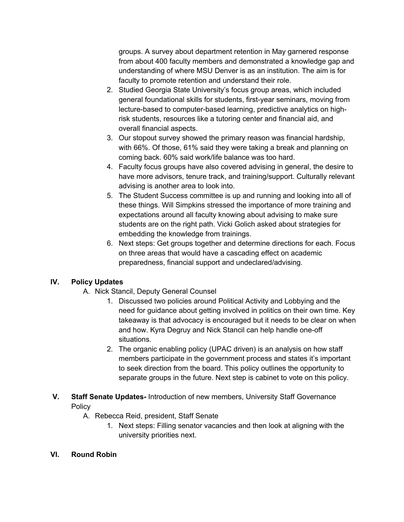groups. A survey about department retention in May garnered response from about 400 faculty members and demonstrated a knowledge gap and understanding of where MSU Denver is as an institution. The aim is for faculty to promote retention and understand their role.

- 2. Studied Georgia State University's focus group areas, which included general foundational skills for students, first-year seminars, moving from lecture-based to computer-based learning, predictive analytics on highrisk students, resources like a tutoring center and financial aid, and overall financial aspects.
- 3. Our stopout survey showed the primary reason was financial hardship, with 66%. Of those, 61% said they were taking a break and planning on coming back. 60% said work/life balance was too hard.
- 4. Faculty focus groups have also covered advising in general, the desire to have more advisors, tenure track, and training/support. Culturally relevant advising is another area to look into.
- 5. The Student Success committee is up and running and looking into all of these things. Will Simpkins stressed the importance of more training and expectations around all faculty knowing about advising to make sure students are on the right path. Vicki Golich asked about strategies for embedding the knowledge from trainings.
- 6. Next steps: Get groups together and determine directions for each. Focus on three areas that would have a cascading effect on academic preparedness, financial support and undeclared/advising.

## **IV. Policy Updates**

- A. Nick Stancil, Deputy General Counsel
	- 1. Discussed two policies around Political Activity and Lobbying and the need for guidance about getting involved in politics on their own time. Key takeaway is that advocacy is encouraged but it needs to be clear on when and how. Kyra Degruy and Nick Stancil can help handle one-off situations.
	- 2. The organic enabling policy (UPAC driven) is an analysis on how staff members participate in the government process and states it's important to seek direction from the board. This policy outlines the opportunity to separate groups in the future. Next step is cabinet to vote on this policy.
- **V. Staff Senate Updates-** Introduction of new members, University Staff Governance **Policy** 
	- A. Rebecca Reid, president, Staff Senate
		- 1. Next steps: Filling senator vacancies and then look at aligning with the university priorities next.

### **VI. Round Robin**